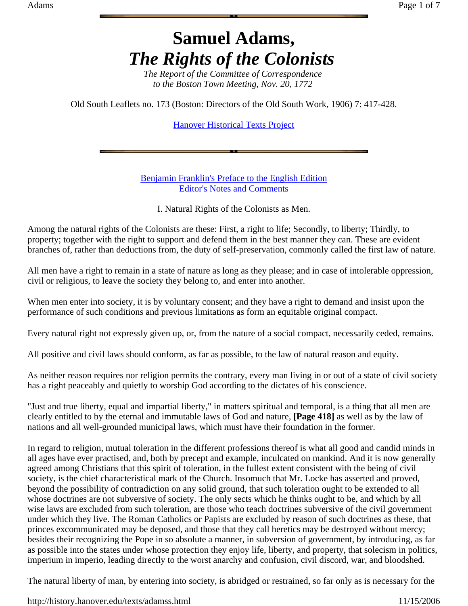## **Samuel Adams,**  *The Rights of the Colonists*

*The Report of the Committee of Correspondence to the Boston Town Meeting, Nov. 20, 1772*

Old South Leaflets no. 173 (Boston: Directors of the Old South Work, 1906) 7: 417-428.

Hanover Historical Texts Project

Benjamin Franklin's Preface to the English Edition Editor's Notes and Comments

I. Natural Rights of the Colonists as Men.

Among the natural rights of the Colonists are these: First, a right to life; Secondly, to liberty; Thirdly, to property; together with the right to support and defend them in the best manner they can. These are evident branches of, rather than deductions from, the duty of self-preservation, commonly called the first law of nature.

All men have a right to remain in a state of nature as long as they please; and in case of intolerable oppression, civil or religious, to leave the society they belong to, and enter into another.

When men enter into society, it is by voluntary consent; and they have a right to demand and insist upon the performance of such conditions and previous limitations as form an equitable original compact.

Every natural right not expressly given up, or, from the nature of a social compact, necessarily ceded, remains.

All positive and civil laws should conform, as far as possible, to the law of natural reason and equity.

As neither reason requires nor religion permits the contrary, every man living in or out of a state of civil society has a right peaceably and quietly to worship God according to the dictates of his conscience.

"Just and true liberty, equal and impartial liberty," in matters spiritual and temporal, is a thing that all men are clearly entitled to by the eternal and immutable laws of God and nature, **[Page 418]** as well as by the law of nations and all well-grounded municipal laws, which must have their foundation in the former.

In regard to religion, mutual toleration in the different professions thereof is what all good and candid minds in all ages have ever practised, and, both by precept and example, inculcated on mankind. And it is now generally agreed among Christians that this spirit of toleration, in the fullest extent consistent with the being of civil society, is the chief characteristical mark of the Church. Insomuch that Mr. Locke has asserted and proved, beyond the possibility of contradiction on any solid ground, that such toleration ought to be extended to all whose doctrines are not subversive of society. The only sects which he thinks ought to be, and which by all wise laws are excluded from such toleration, are those who teach doctrines subversive of the civil government under which they live. The Roman Catholics or Papists are excluded by reason of such doctrines as these, that princes excommunicated may be deposed, and those that they call heretics may be destroyed without mercy; besides their recognizing the Pope in so absolute a manner, in subversion of government, by introducing, as far as possible into the states under whose protection they enjoy life, liberty, and property, that solecism in politics, imperium in imperio, leading directly to the worst anarchy and confusion, civil discord, war, and bloodshed.

The natural liberty of man, by entering into society, is abridged or restrained, so far only as is necessary for the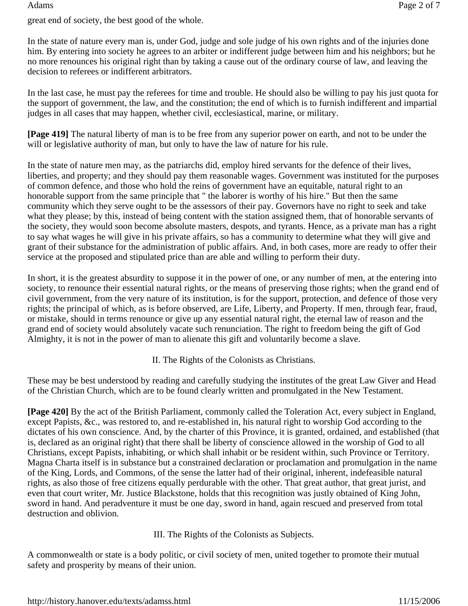great end of society, the best good of the whole.

In the state of nature every man is, under God, judge and sole judge of his own rights and of the injuries done him. By entering into society he agrees to an arbiter or indifferent judge between him and his neighbors; but he no more renounces his original right than by taking a cause out of the ordinary course of law, and leaving the decision to referees or indifferent arbitrators.

In the last case, he must pay the referees for time and trouble. He should also be willing to pay his just quota for the support of government, the law, and the constitution; the end of which is to furnish indifferent and impartial judges in all cases that may happen, whether civil, ecclesiastical, marine, or military.

**[Page 419]** The natural liberty of man is to be free from any superior power on earth, and not to be under the will or legislative authority of man, but only to have the law of nature for his rule.

In the state of nature men may, as the patriarchs did, employ hired servants for the defence of their lives, liberties, and property; and they should pay them reasonable wages. Government was instituted for the purposes of common defence, and those who hold the reins of government have an equitable, natural right to an honorable support from the same principle that " the laborer is worthy of his hire." But then the same community which they serve ought to be the assessors of their pay. Governors have no right to seek and take what they please; by this, instead of being content with the station assigned them, that of honorable servants of the society, they would soon become absolute masters, despots, and tyrants. Hence, as a private man has a right to say what wages he will give in his private affairs, so has a community to determine what they will give and grant of their substance for the administration of public affairs. And, in both cases, more are ready to offer their service at the proposed and stipulated price than are able and willing to perform their duty.

In short, it is the greatest absurdity to suppose it in the power of one, or any number of men, at the entering into society, to renounce their essential natural rights, or the means of preserving those rights; when the grand end of civil government, from the very nature of its institution, is for the support, protection, and defence of those very rights; the principal of which, as is before observed, are Life, Liberty, and Property. If men, through fear, fraud, or mistake, should in terms renounce or give up any essential natural right, the eternal law of reason and the grand end of society would absolutely vacate such renunciation. The right to freedom being the gift of God Almighty, it is not in the power of man to alienate this gift and voluntarily become a slave.

II. The Rights of the Colonists as Christians.

These may be best understood by reading and carefully studying the institutes of the great Law Giver and Head of the Christian Church, which are to be found clearly written and promulgated in the New Testament.

**[Page 420]** By the act of the British Parliament, commonly called the Toleration Act, every subject in England, except Papists, &c., was restored to, and re-established in, his natural right to worship God according to the dictates of his own conscience. And, by the charter of this Province, it is granted, ordained, and established (that is, declared as an original right) that there shall be liberty of conscience allowed in the worship of God to all Christians, except Papists, inhabiting, or which shall inhabit or be resident within, such Province or Territory. Magna Charta itself is in substance but a constrained declaration or proclamation and promulgation in the name of the King, Lords, and Commons, of the sense the latter had of their original, inherent, indefeasible natural rights, as also those of free citizens equally perdurable with the other. That great author, that great jurist, and even that court writer, Mr. Justice Blackstone, holds that this recognition was justly obtained of King John, sword in hand. And peradventure it must be one day, sword in hand, again rescued and preserved from total destruction and oblivion.

III. The Rights of the Colonists as Subjects.

A commonwealth or state is a body politic, or civil society of men, united together to promote their mutual safety and prosperity by means of their union.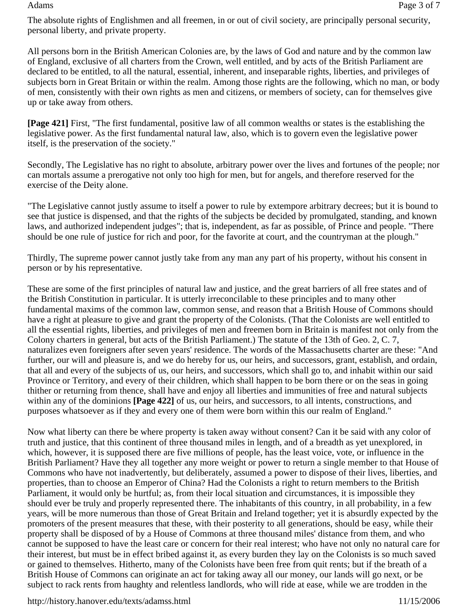The absolute rights of Englishmen and all freemen, in or out of civil society, are principally personal security, personal liberty, and private property.

All persons born in the British American Colonies are, by the laws of God and nature and by the common law of England, exclusive of all charters from the Crown, well entitled, and by acts of the British Parliament are declared to be entitled, to all the natural, essential, inherent, and inseparable rights, liberties, and privileges of subjects born in Great Britain or within the realm. Among those rights are the following, which no man, or body of men, consistently with their own rights as men and citizens, or members of society, can for themselves give up or take away from others.

**[Page 421]** First, "The first fundamental, positive law of all common wealths or states is the establishing the legislative power. As the first fundamental natural law, also, which is to govern even the legislative power itself, is the preservation of the society."

Secondly, The Legislative has no right to absolute, arbitrary power over the lives and fortunes of the people; nor can mortals assume a prerogative not only too high for men, but for angels, and therefore reserved for the exercise of the Deity alone.

"The Legislative cannot justly assume to itself a power to rule by extempore arbitrary decrees; but it is bound to see that justice is dispensed, and that the rights of the subjects be decided by promulgated, standing, and known laws, and authorized independent judges"; that is, independent, as far as possible, of Prince and people. "There should be one rule of justice for rich and poor, for the favorite at court, and the countryman at the plough."

Thirdly, The supreme power cannot justly take from any man any part of his property, without his consent in person or by his representative.

These are some of the first principles of natural law and justice, and the great barriers of all free states and of the British Constitution in particular. It is utterly irreconcilable to these principles and to many other fundamental maxims of the common law, common sense, and reason that a British House of Commons should have a right at pleasure to give and grant the property of the Colonists. (That the Colonists are well entitled to all the essential rights, liberties, and privileges of men and freemen born in Britain is manifest not only from the Colony charters in general, but acts of the British Parliament.) The statute of the 13th of Geo. 2, C. 7, naturalizes even foreigners after seven years' residence. The words of the Massachusetts charter are these: "And further, our will and pleasure is, and we do hereby for us, our heirs, and successors, grant, establish, and ordain, that all and every of the subjects of us, our heirs, and successors, which shall go to, and inhabit within our said Province or Territory, and every of their children, which shall happen to be born there or on the seas in going thither or returning from thence, shall have and enjoy all liberties and immunities of free and natural subjects within any of the dominions **[Page 422]** of us, our heirs, and successors, to all intents, constructions, and purposes whatsoever as if they and every one of them were born within this our realm of England."

Now what liberty can there be where property is taken away without consent? Can it be said with any color of truth and justice, that this continent of three thousand miles in length, and of a breadth as yet unexplored, in which, however, it is supposed there are five millions of people, has the least voice, vote, or influence in the British Parliament? Have they all together any more weight or power to return a single member to that House of Commons who have not inadvertently, but deliberately, assumed a power to dispose of their lives, liberties, and properties, than to choose an Emperor of China? Had the Colonists a right to return members to the British Parliament, it would only be hurtful; as, from their local situation and circumstances, it is impossible they should ever be truly and properly represented there. The inhabitants of this country, in all probability, in a few years, will be more numerous than those of Great Britain and Ireland together; yet it is absurdly expected by the promoters of the present measures that these, with their posterity to all generations, should be easy, while their property shall be disposed of by a House of Commons at three thousand miles' distance from them, and who cannot be supposed to have the least care or concern for their real interest; who have not only no natural care for their interest, but must be in effect bribed against it, as every burden they lay on the Colonists is so much saved or gained to themselves. Hitherto, many of the Colonists have been free from quit rents; but if the breath of a British House of Commons can originate an act for taking away all our money, our lands will go next, or be subject to rack rents from haughty and relentless landlords, who will ride at ease, while we are trodden in the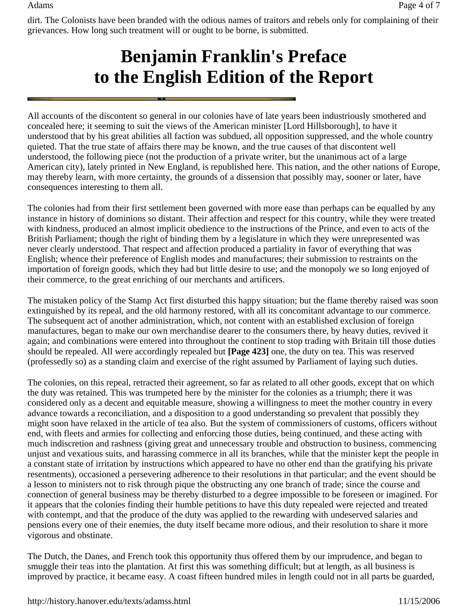dirt. The Colonists have been branded with the odious names of traitors and rebels only for complaining of their grievances. How long such treatment will or ought to be borne, is submitted.

## **Benjamin Franklin's Preface to the English Edition of the Report**

All accounts of the discontent so general in our colonies have of late years been industriously smothered and concealed here; it seeming to suit the views of the American minister [Lord Hillsborough], to have it understood that by his great abilities all faction was subdued, all opposition suppressed, and the whole country quieted. That the true state of affairs there may be known, and the true causes of that discontent well understood, the following piece (not the production of a private writer, but the unanimous act of a large American city), lately printed in New England, is republished here. This nation, and the other nations of Europe, may thereby learn, with more certainty, the grounds of a dissension that possibly may, sooner or later, have consequences interesting to them all.

The colonies had from their first settlement been governed with more ease than perhaps can be equalled by any instance in history of dominions so distant. Their affection and respect for this country, while they were treated with kindness, produced an almost implicit obedience to the instructions of the Prince, and even to acts of the British Parliament; though the right of binding them by a legislature in which they were unrepresented was never clearly understood. That respect and affection produced a partiality in favor of everything that was English; whence their preference of English modes and manufactures; their submission to restraints on the importation of foreign goods, which they had but little desire to use; and the monopoly we so long enjoyed of their commerce, to the great enriching of our merchants and artificers.

The mistaken policy of the Stamp Act first disturbed this happy situation; but the flame thereby raised was soon extinguished by its repeal, and the old harmony restored, with all its concomitant advantage to our commerce. The subsequent act of another administration, which, not content with an established exclusion of foreign manufactures, began to make our own merchandise dearer to the consumers there, by heavy duties, revived it again; and combinations were entered into throughout the continent to stop trading with Britain till those duties should be repealed. All were accordingly repealed but **[Page 423]** one, the duty on tea. This was reserved (professedly so) as a standing claim and exercise of the right assumed by Parliament of laying such duties.

The colonies, on this repeal, retracted their agreement, so far as related to all other goods, except that on which the duty was retained. This was trumpeted here by the minister for the colonies as a triumph; there it was considered only as a decent and equitable measure, showing a willingness to meet the mother country in every advance towards a reconciliation, and a disposition to a good understanding so prevalent that possibly they might soon have relaxed in the article of tea also. But the system of commissioners of customs, officers without end, with fleets and armies for collecting and enforcing those duties, being continued, and these acting with much indiscretion and rashness (giving great and unnecessary trouble and obstruction to business, commencing unjust and vexatious suits, and harassing commerce in all its branches, while that the minister kept the people in a constant state of irritation by instructions which appeared to have no other end than the gratifying his private resentments), occasioned a persevering adherence to their resolutions in that particular; and the event should be a lesson to ministers not to risk through pique the obstructing any one branch of trade; since the course and connection of general business may be thereby disturbed to a degree impossible to be foreseen or imagined. For it appears that the colonies finding their humble petitions to have this duty repealed were rejected and treated with contempt, and that the produce of the duty was applied to the rewarding with undeserved salaries and pensions every one of their enemies, the duty itself became more odious, and their resolution to share it more vigorous and obstinate.

The Dutch, the Danes, and French took this opportunity thus offered them by our imprudence, and began to smuggle their teas into the plantation. At first this was something difficult; but at length, as all business is improved by practice, it became easy. A coast fifteen hundred miles in length could not in all parts be guarded,